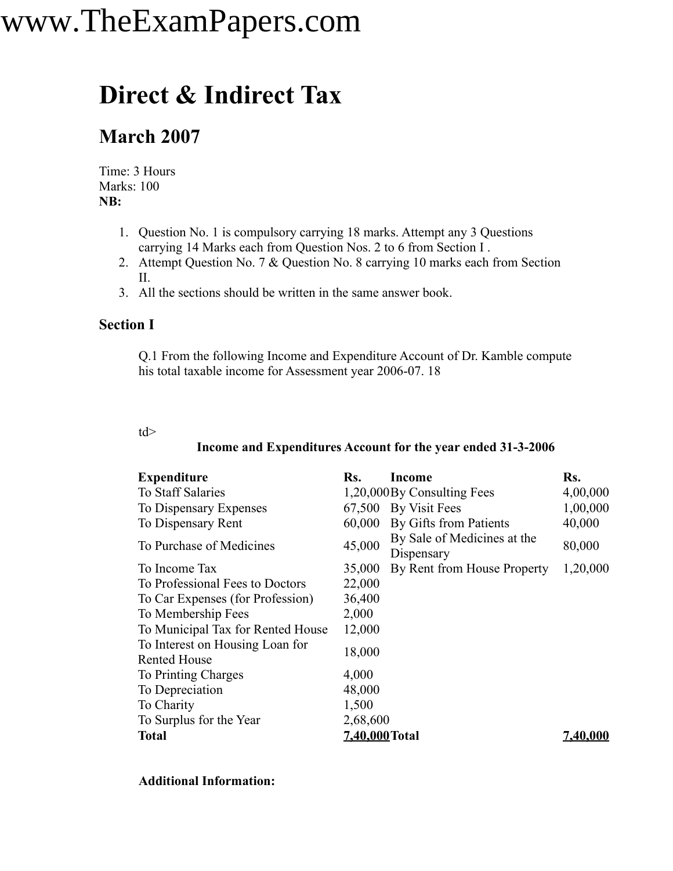## **Direct & Indirect Tax**

### **March 2007**

Time: 3 Hours Marks: 100 **NB:**

- 1. Question No. 1 is compulsory carrying 18 marks. Attempt any 3 Questions carrying 14 Marks each from Question Nos. 2 to 6 from Section I .
- 2. Attempt Question No. 7 & Question No. 8 carrying 10 marks each from Section II.
- 3. All the sections should be written in the same answer book.

#### **Section I**

Q.1 From the following Income and Expenditure Account of Dr. Kamble compute his total taxable income for Assessment year 2006-07. 18

#### td>

#### **Income and Expenditures Account for the year ended 31-3-2006**

| <b>Expenditure</b>                                     | Rs.            | Income                                    | Rs.      |
|--------------------------------------------------------|----------------|-------------------------------------------|----------|
| <b>To Staff Salaries</b>                               |                | 1,20,000 By Consulting Fees               | 4,00,000 |
| To Dispensary Expenses                                 |                | 67,500 By Visit Fees                      | 1,00,000 |
| To Dispensary Rent                                     | 60,000         | By Gifts from Patients                    | 40,000   |
| To Purchase of Medicines                               | 45,000         | By Sale of Medicines at the<br>Dispensary | 80,000   |
| To Income Tax                                          | 35,000         | By Rent from House Property               | 1,20,000 |
| To Professional Fees to Doctors                        | 22,000         |                                           |          |
| To Car Expenses (for Profession)                       | 36,400         |                                           |          |
| To Membership Fees                                     | 2,000          |                                           |          |
| To Municipal Tax for Rented House                      | 12,000         |                                           |          |
| To Interest on Housing Loan for<br><b>Rented House</b> | 18,000         |                                           |          |
| To Printing Charges                                    | 4,000          |                                           |          |
| To Depreciation                                        | 48,000         |                                           |          |
| To Charity                                             | 1,500          |                                           |          |
| To Surplus for the Year                                | 2,68,600       |                                           |          |
| <b>Total</b>                                           | 7,40,000 Total |                                           | 7,40,000 |

#### **Additional Information:**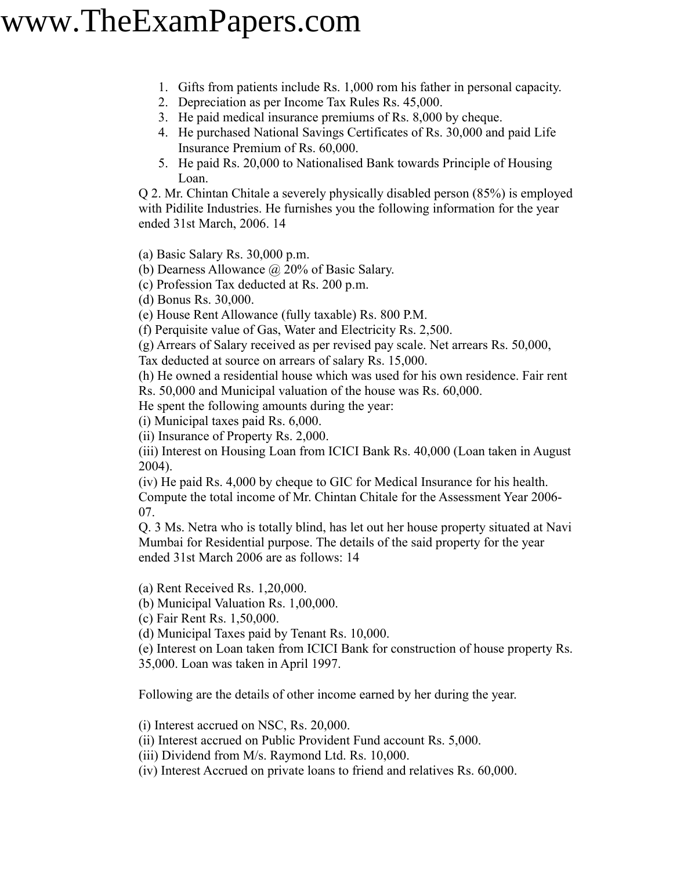- 1. Gifts from patients include Rs. 1,000 rom his father in personal capacity.
- 2. Depreciation as per Income Tax Rules Rs. 45,000.
- 3. He paid medical insurance premiums of Rs. 8,000 by cheque.
- 4. He purchased National Savings Certificates of Rs. 30,000 and paid Life Insurance Premium of Rs. 60,000.
- 5. He paid Rs. 20,000 to Nationalised Bank towards Principle of Housing Loan.

Q 2. Mr. Chintan Chitale a severely physically disabled person (85%) is employed with Pidilite Industries. He furnishes you the following information for the year ended 31st March, 2006. 14

(a) Basic Salary Rs. 30,000 p.m.

(b) Dearness Allowance  $\omega$  20% of Basic Salary.

(c) Profession Tax deducted at Rs. 200 p.m.

(d) Bonus Rs. 30,000.

(e) House Rent Allowance (fully taxable) Rs. 800 P.M.

(f) Perquisite value of Gas, Water and Electricity Rs. 2,500.

(g) Arrears of Salary received as per revised pay scale. Net arrears Rs. 50,000,

Tax deducted at source on arrears of salary Rs. 15,000.

(h) He owned a residential house which was used for his own residence. Fair rent Rs. 50,000 and Municipal valuation of the house was Rs. 60,000.

He spent the following amounts during the year:

(i) Municipal taxes paid Rs. 6,000.

(ii) Insurance of Property Rs. 2,000.

(iii) Interest on Housing Loan from ICICI Bank Rs. 40,000 (Loan taken in August 2004).

(iv) He paid Rs. 4,000 by cheque to GIC for Medical Insurance for his health. Compute the total income of Mr. Chintan Chitale for the Assessment Year 2006- 07.

Q. 3 Ms. Netra who is totally blind, has let out her house property situated at Navi Mumbai for Residential purpose. The details of the said property for the year ended 31st March 2006 are as follows: 14

(a) Rent Received Rs. 1,20,000.

(b) Municipal Valuation Rs. 1,00,000.

(c) Fair Rent Rs. 1,50,000.

(d) Municipal Taxes paid by Tenant Rs. 10,000.

(e) Interest on Loan taken from ICICI Bank for construction of house property Rs. 35,000. Loan was taken in April 1997.

Following are the details of other income earned by her during the year.

(i) Interest accrued on NSC, Rs. 20,000.

(ii) Interest accrued on Public Provident Fund account Rs. 5,000.

(iii) Dividend from M/s. Raymond Ltd. Rs. 10,000.

(iv) Interest Accrued on private loans to friend and relatives Rs. 60,000.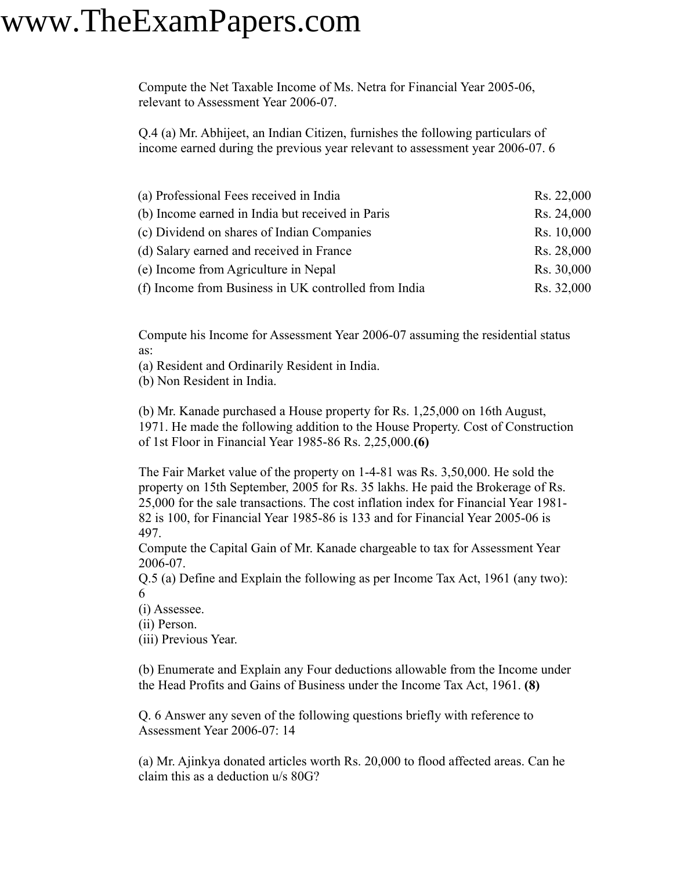Compute the Net Taxable Income of Ms. Netra for Financial Year 2005-06, relevant to Assessment Year 2006-07.

Q.4 (a) Mr. Abhijeet, an Indian Citizen, furnishes the following particulars of income earned during the previous year relevant to assessment year 2006-07. 6

| (a) Professional Fees received in India              | Rs. 22,000 |
|------------------------------------------------------|------------|
| (b) Income earned in India but received in Paris     | Rs. 24,000 |
| (c) Dividend on shares of Indian Companies           | Rs. 10,000 |
| (d) Salary earned and received in France             | Rs. 28,000 |
| (e) Income from Agriculture in Nepal                 | Rs. 30,000 |
| (f) Income from Business in UK controlled from India | Rs. 32,000 |

Compute his Income for Assessment Year 2006-07 assuming the residential status as:

(a) Resident and Ordinarily Resident in India.

(b) Non Resident in India.

(b) Mr. Kanade purchased a House property for Rs. 1,25,000 on 16th August, 1971. He made the following addition to the House Property. Cost of Construction of 1st Floor in Financial Year 1985-86 Rs. 2,25,000.**(6)**

The Fair Market value of the property on 1-4-81 was Rs. 3,50,000. He sold the property on 15th September, 2005 for Rs. 35 lakhs. He paid the Brokerage of Rs. 25,000 for the sale transactions. The cost inflation index for Financial Year 1981- 82 is 100, for Financial Year 1985-86 is 133 and for Financial Year 2005-06 is 497.

Compute the Capital Gain of Mr. Kanade chargeable to tax for Assessment Year 2006-07.

Q.5 (a) Define and Explain the following as per Income Tax Act, 1961 (any two): 6

(i) Assessee.

(ii) Person.

(iii) Previous Year.

(b) Enumerate and Explain any Four deductions allowable from the Income under the Head Profits and Gains of Business under the Income Tax Act, 1961. **(8)**

Q. 6 Answer any seven of the following questions briefly with reference to Assessment Year 2006-07: 14

(a) Mr. Ajinkya donated articles worth Rs. 20,000 to flood affected areas. Can he claim this as a deduction u/s 80G?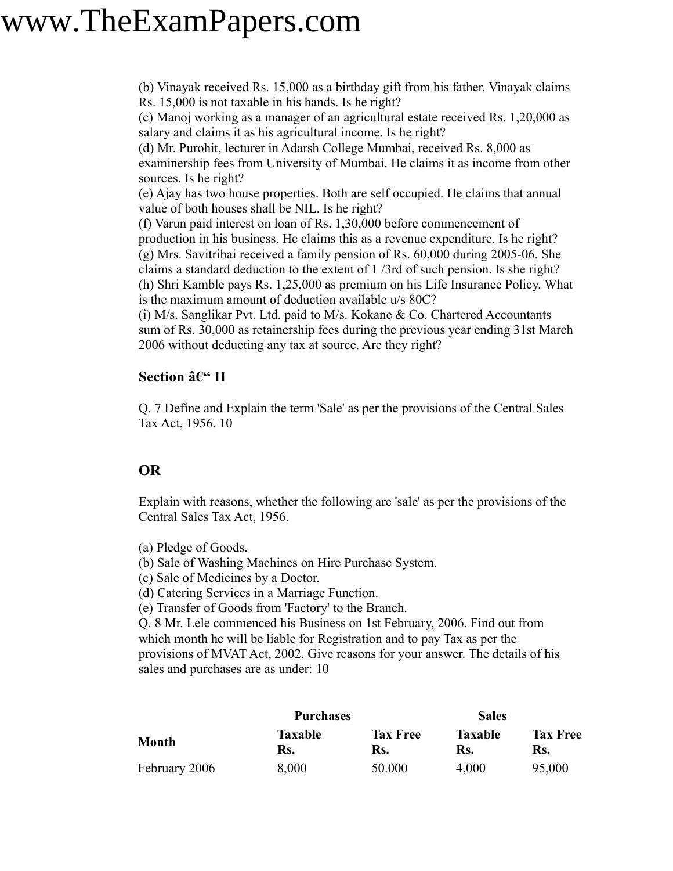(b) Vinayak received Rs. 15,000 as a birthday gift from his father. Vinayak claims Rs. 15,000 is not taxable in his hands. Is he right?

(c) Manoj working as a manager of an agricultural estate received Rs. 1,20,000 as salary and claims it as his agricultural income. Is he right?

(d) Mr. Purohit, lecturer in Adarsh College Mumbai, received Rs. 8,000 as examinership fees from University of Mumbai. He claims it as income from other sources. Is he right?

(e) Ajay has two house properties. Both are self occupied. He claims that annual value of both houses shall be NIL. Is he right?

(f) Varun paid interest on loan of Rs. 1,30,000 before commencement of production in his business. He claims this as a revenue expenditure. Is he right? (g) Mrs. Savitribai received a family pension of Rs. 60,000 during 2005-06. She claims a standard deduction to the extent of 1 /3rd of such pension. Is she right? (h) Shri Kamble pays Rs. 1,25,000 as premium on his Life Insurance Policy. What is the maximum amount of deduction available u/s 80C?

(i) M/s. Sanglikar Pvt. Ltd. paid to M/s. Kokane & Co. Chartered Accountants sum of Rs. 30,000 as retainership fees during the previous year ending 31st March 2006 without deducting any tax at source. Are they right?

### **Section – II**

Q. 7 Define and Explain the term 'Sale' as per the provisions of the Central Sales Tax Act, 1956. 10

### **OR**

Explain with reasons, whether the following are 'sale' as per the provisions of the Central Sales Tax Act, 1956.

- (a) Pledge of Goods.
- (b) Sale of Washing Machines on Hire Purchase System.
- (c) Sale of Medicines by a Doctor.

(d) Catering Services in a Marriage Function.

(e) Transfer of Goods from 'Factory' to the Branch.

Q. 8 Mr. Lele commenced his Business on 1st February, 2006. Find out from which month he will be liable for Registration and to pay Tax as per the provisions of MVAT Act, 2002. Give reasons for your answer. The details of his sales and purchases are as under: 10

|               | <b>Purchases</b>      |                        | <b>Sales</b>          |                        |
|---------------|-----------------------|------------------------|-----------------------|------------------------|
| <b>Month</b>  | <b>Taxable</b><br>Rs. | <b>Tax Free</b><br>Rs. | <b>Taxable</b><br>Rs. | <b>Tax Free</b><br>Rs. |
| February 2006 | 8,000                 | 50.000                 | 4,000                 | 95,000                 |